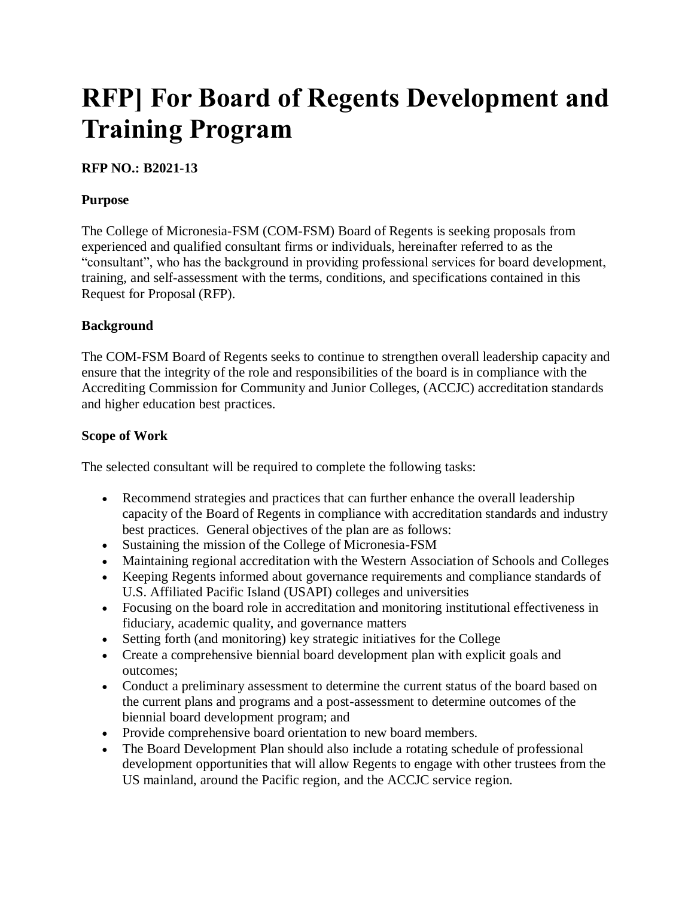# **RFP] For Board of Regents Development and Training Program**

## **RFP NO.: B2021-13**

## **Purpose**

The College of Micronesia-FSM (COM-FSM) Board of Regents is seeking proposals from experienced and qualified consultant firms or individuals, hereinafter referred to as the "consultant", who has the background in providing professional services for board development, training, and self-assessment with the terms, conditions, and specifications contained in this Request for Proposal (RFP).

## **Background**

The COM-FSM Board of Regents seeks to continue to strengthen overall leadership capacity and ensure that the integrity of the role and responsibilities of the board is in compliance with the Accrediting Commission for Community and Junior Colleges, (ACCJC) accreditation standards and higher education best practices.

#### **Scope of Work**

The selected consultant will be required to complete the following tasks:

- Recommend strategies and practices that can further enhance the overall leadership capacity of the Board of Regents in compliance with accreditation standards and industry best practices. General objectives of the plan are as follows:
- Sustaining the mission of the College of Micronesia-FSM
- Maintaining regional accreditation with the Western Association of Schools and Colleges
- Keeping Regents informed about governance requirements and compliance standards of U.S. Affiliated Pacific Island (USAPI) colleges and universities
- Focusing on the board role in accreditation and monitoring institutional effectiveness in fiduciary, academic quality, and governance matters
- Setting forth (and monitoring) key strategic initiatives for the College
- Create a comprehensive biennial board development plan with explicit goals and outcomes;
- Conduct a preliminary assessment to determine the current status of the board based on the current plans and programs and a post-assessment to determine outcomes of the biennial board development program; and
- Provide comprehensive board orientation to new board members.
- The Board Development Plan should also include a rotating schedule of professional development opportunities that will allow Regents to engage with other trustees from the US mainland, around the Pacific region, and the ACCJC service region.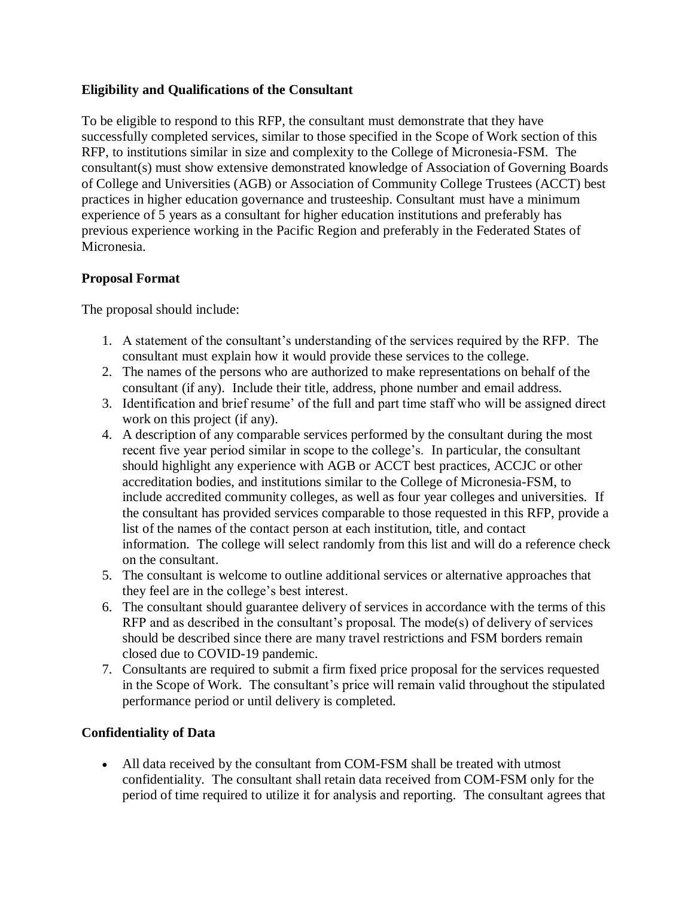## **Eligibility and Qualifications of the Consultant**

To be eligible to respond to this RFP, the consultant must demonstrate that they have successfully completed services, similar to those specified in the Scope of Work section of this RFP, to institutions similar in size and complexity to the College of Micronesia-FSM. The consultant(s) must show extensive demonstrated knowledge of Association of Governing Boards of College and Universities (AGB) or Association of Community College Trustees (ACCT) best practices in higher education governance and trusteeship. Consultant must have a minimum experience of 5 years as a consultant for higher education institutions and preferably has previous experience working in the Pacific Region and preferably in the Federated States of Micronesia.

## **Proposal Format**

The proposal should include:

- 1. A statement of the consultant's understanding of the services required by the RFP. The consultant must explain how it would provide these services to the college.
- 2. The names of the persons who are authorized to make representations on behalf of the consultant (if any). Include their title, address, phone number and email address.
- 3. Identification and brief resume' of the full and part time staff who will be assigned direct work on this project (if any).
- 4. A description of any comparable services performed by the consultant during the most recent five year period similar in scope to the college's. In particular, the consultant should highlight any experience with AGB or ACCT best practices, ACCJC or other accreditation bodies, and institutions similar to the College of Micronesia-FSM, to include accredited community colleges, as well as four year colleges and universities. If the consultant has provided services comparable to those requested in this RFP, provide a list of the names of the contact person at each institution, title, and contact information. The college will select randomly from this list and will do a reference check on the consultant.
- 5. The consultant is welcome to outline additional services or alternative approaches that they feel are in the college's best interest.
- 6. The consultant should guarantee delivery of services in accordance with the terms of this RFP and as described in the consultant's proposal. The mode(s) of delivery of services should be described since there are many travel restrictions and FSM borders remain closed due to COVID-19 pandemic.
- 7. Consultants are required to submit a firm fixed price proposal for the services requested in the Scope of Work. The consultant's price will remain valid throughout the stipulated performance period or until delivery is completed.

#### **Confidentiality of Data**

 All data received by the consultant from COM-FSM shall be treated with utmost confidentiality. The consultant shall retain data received from COM-FSM only for the period of time required to utilize it for analysis and reporting. The consultant agrees that